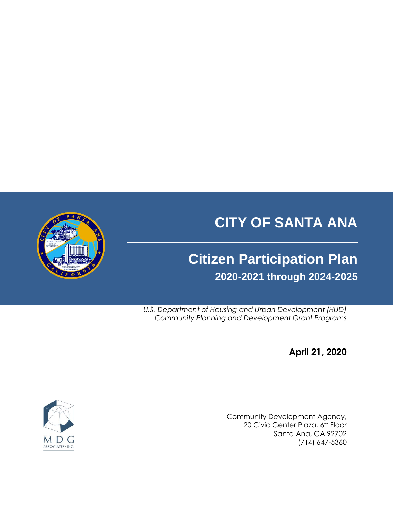# **CITY OF SANTA ANA**

# **Citizen Participation Plan 2020-2021 through 2024-2025**

*U.S. Department of Housing and Urban Development (HUD) Community Planning and Development Grant Programs*

**April 21, 2020**

Community Development Agency, 20 Civic Center Plaza, 6th Floor Santa Ana, CA 92702 (714) 647-5360



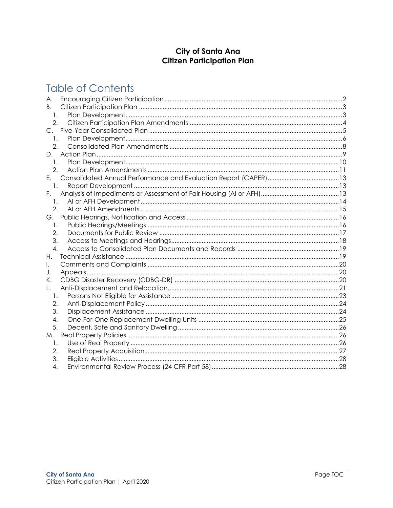## City of Santa Ana **Citizen Participation Plan**

## **Table of Contents**

| Α.               |  |
|------------------|--|
| B.               |  |
| $\mathbf{1}$ .   |  |
| $\overline{2}$ . |  |
| $C_{1}$          |  |
| 1.               |  |
| 2.               |  |
| D.               |  |
| 1.               |  |
| 2.               |  |
| Е.               |  |
| 1.               |  |
| F.               |  |
| 1.               |  |
| 2.               |  |
| G.               |  |
| 1.               |  |
| 2.               |  |
| 3.               |  |
| 4.               |  |
| Н.               |  |
| I.               |  |
| J.               |  |
| Κ.               |  |
|                  |  |
| 1.               |  |
| 2.               |  |
| 3.               |  |
| 4.               |  |
| 5.               |  |
| М.               |  |
| 1.               |  |
| 2.               |  |
| 3.               |  |
| 4.               |  |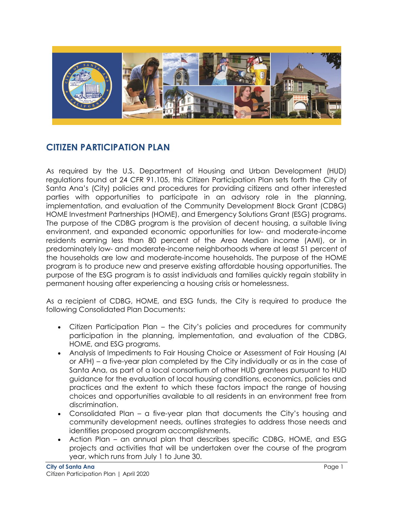

## **CITIZEN PARTICIPATION PLAN**

As required by the U.S. Department of Housing and Urban Development (HUD) regulations found at 24 CFR 91.105, this Citizen Participation Plan sets forth the City of Santa Ana's (City) policies and procedures for providing citizens and other interested parties with opportunities to participate in an advisory role in the planning, implementation, and evaluation of the Community Development Block Grant (CDBG) HOME Investment Partnerships (HOME), and Emergency Solutions Grant (ESG) programs. The purpose of the CDBG program is the provision of decent housing, a suitable living environment, and expanded economic opportunities for low- and moderate-income residents earning less than 80 percent of the Area Median income (AMI), or in predominately low- and moderate-income neighborhoods where at least 51 percent of the households are low and moderate-income households. The purpose of the HOME program is to produce new and preserve existing affordable housing opportunities. The purpose of the ESG program is to assist individuals and families quickly regain stability in permanent housing after experiencing a housing crisis or homelessness.

As a recipient of CDBG, HOME, and ESG funds, the City is required to produce the following Consolidated Plan Documents:

- Citizen Participation Plan the City's policies and procedures for community participation in the planning, implementation, and evaluation of the CDBG, HOME, and ESG programs.
- Analysis of Impediments to Fair Housing Choice or Assessment of Fair Housing (AI or AFH) – a five-year plan completed by the City individually or as in the case of Santa Ana, as part of a local consortium of other HUD grantees pursuant to HUD guidance for the evaluation of local housing conditions, economics, policies and practices and the extent to which these factors impact the range of housing choices and opportunities available to all residents in an environment free from discrimination.
- Consolidated Plan a five-year plan that documents the City's housing and community development needs, outlines strategies to address those needs and identifies proposed program accomplishments.
- Action Plan an annual plan that describes specific CDBG, HOME, and ESG projects and activities that will be undertaken over the course of the program year, which runs from July 1 to June 30.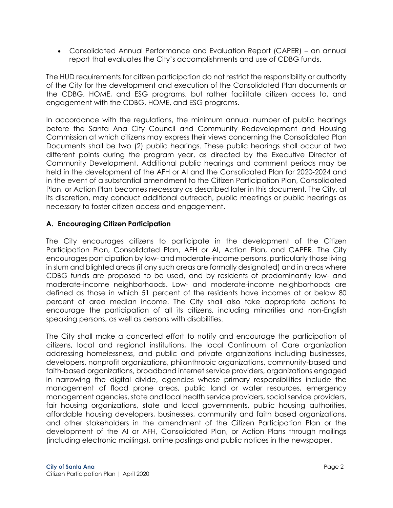Consolidated Annual Performance and Evaluation Report (CAPER) – an annual report that evaluates the City's accomplishments and use of CDBG funds.

The HUD requirements for citizen participation do not restrict the responsibility or authority of the City for the development and execution of the Consolidated Plan documents or the CDBG, HOME, and ESG programs, but rather facilitate citizen access to, and engagement with the CDBG, HOME, and ESG programs.

In accordance with the regulations, the minimum annual number of public hearings before the Santa Ana City Council and Community Redevelopment and Housing Commission at which citizens may express their views concerning the Consolidated Plan Documents shall be two (2) public hearings. These public hearings shall occur at two different points during the program year, as directed by the Executive Director of Community Development. Additional public hearings and comment periods may be held in the development of the AFH or AI and the Consolidated Plan for 2020-2024 and in the event of a substantial amendment to the Citizen Participation Plan, Consolidated Plan, or Action Plan becomes necessary as described later in this document. The City, at its discretion, may conduct additional outreach, public meetings or public hearings as necessary to foster citizen access and engagement.

## <span id="page-3-0"></span>**A. Encouraging Citizen Participation**

The City encourages citizens to participate in the development of the Citizen Participation Plan, Consolidated Plan, AFH or AI, Action Plan, and CAPER. The City encourages participation by low- and moderate-income persons, particularly those living in slum and blighted areas (if any such areas are formally designated) and in areas where CDBG funds are proposed to be used, and by residents of predominantly low- and moderate-income neighborhoods. Low- and moderate-income neighborhoods are defined as those in which 51 percent of the residents have incomes at or below 80 percent of area median income. The City shall also take appropriate actions to encourage the participation of all its citizens, including minorities and non-English speaking persons, as well as persons with disabilities.

The City shall make a concerted effort to notify and encourage the participation of citizens, local and regional institutions, the local Continuum of Care organization addressing homelessness, and public and private organizations including businesses, developers, nonprofit organizations, philanthropic organizations, community-based and faith-based organizations, broadband internet service providers, organizations engaged in narrowing the digital divide, agencies whose primary responsibilities include the management of flood prone areas, public land or water resources, emergency management agencies, state and local health service providers, social service providers, fair housing organizations, state and local governments, public housing authorities, affordable housing developers, businesses, community and faith based organizations, and other stakeholders in the amendment of the Citizen Participation Plan or the development of the AI or AFH, Consolidated Plan, or Action Plans through mailings (including electronic mailings), online postings and public notices in the newspaper.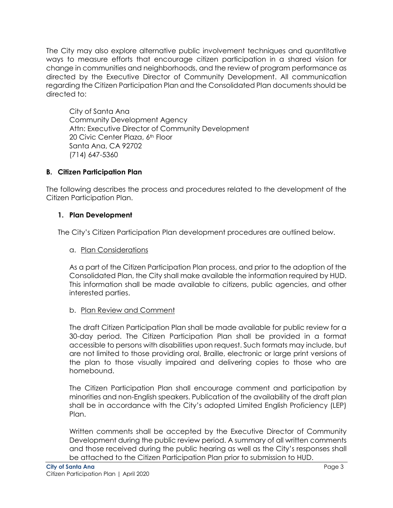The City may also explore alternative public involvement techniques and quantitative ways to measure efforts that encourage citizen participation in a shared vision for change in communities and neighborhoods, and the review of program performance as directed by the Executive Director of Community Development. All communication regarding the Citizen Participation Plan and the Consolidated Plan documents should be directed to:

City of Santa Ana Community Development Agency Attn: Executive Director of Community Development 20 Civic Center Plaza, 6th Floor Santa Ana, CA 92702 (714) 647-5360

## <span id="page-4-0"></span>**B. Citizen Participation Plan**

The following describes the process and procedures related to the development of the Citizen Participation Plan.

## <span id="page-4-1"></span>**1. Plan Development**

The City's Citizen Participation Plan development procedures are outlined below.

## a. Plan Considerations

As a part of the Citizen Participation Plan process, and prior to the adoption of the Consolidated Plan, the City shall make available the information required by HUD. This information shall be made available to citizens, public agencies, and other interested parties.

## b. Plan Review and Comment

The draft Citizen Participation Plan shall be made available for public review for a 30-day period. The Citizen Participation Plan shall be provided in a format accessible to persons with disabilities upon request. Such formats may include, but are not limited to those providing oral, Braille, electronic or large print versions of the plan to those visually impaired and delivering copies to those who are homebound.

The Citizen Participation Plan shall encourage comment and participation by minorities and non-English speakers. Publication of the availability of the draft plan shall be in accordance with the City's adopted Limited English Proficiency (LEP) Plan.

Written comments shall be accepted by the Executive Director of Community Development during the public review period. A summary of all written comments and those received during the public hearing as well as the City's responses shall be attached to the Citizen Participation Plan prior to submission to HUD.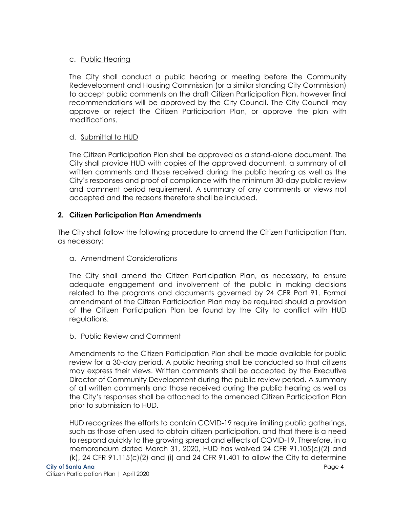## c. Public Hearing

The City shall conduct a public hearing or meeting before the Community Redevelopment and Housing Commission (or a similar standing City Commission) to accept public comments on the draft Citizen Participation Plan, however final recommendations will be approved by the City Council. The City Council may approve or reject the Citizen Participation Plan, or approve the plan with modifications.

## d. Submittal to HUD

The Citizen Participation Plan shall be approved as a stand-alone document. The City shall provide HUD with copies of the approved document, a summary of all written comments and those received during the public hearing as well as the City's responses and proof of compliance with the minimum 30-day public review and comment period requirement. A summary of any comments or views not accepted and the reasons therefore shall be included.

## <span id="page-5-0"></span>**2. Citizen Participation Plan Amendments**

The City shall follow the following procedure to amend the Citizen Participation Plan, as necessary:

## a. Amendment Considerations

The City shall amend the Citizen Participation Plan, as necessary, to ensure adequate engagement and involvement of the public in making decisions related to the programs and documents governed by 24 CFR Part 91. Formal amendment of the Citizen Participation Plan may be required should a provision of the Citizen Participation Plan be found by the City to conflict with HUD regulations.

## b. Public Review and Comment

Amendments to the Citizen Participation Plan shall be made available for public review for a 30-day period. A public hearing shall be conducted so that citizens may express their views. Written comments shall be accepted by the Executive Director of Community Development during the public review period. A summary of all written comments and those received during the public hearing as well as the City's responses shall be attached to the amended Citizen Participation Plan prior to submission to HUD.

HUD recognizes the efforts to contain COVID-19 require limiting public gatherings, such as those often used to obtain citizen participation, and that there is a need to respond quickly to the growing spread and effects of COVID-19. Therefore, in a memorandum dated March 31, 2020, HUD has waived 24 CFR 91.105(c)(2) and  $(k)$ , 24 CFR 91.115(c)(2) and (i) and 24 CFR 91.401 to allow the City to determine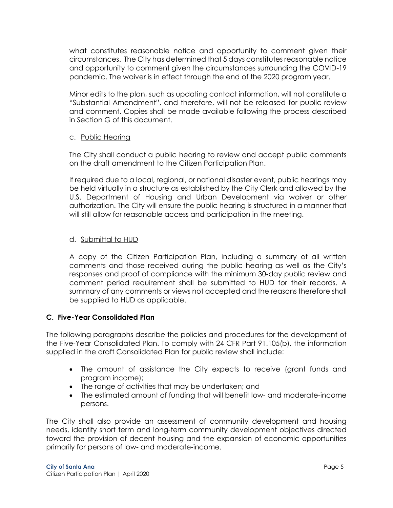what constitutes reasonable notice and opportunity to comment given their circumstances. The City has determined that 5 days constitutes reasonable notice and opportunity to comment given the circumstances surrounding the COVID-19 pandemic. The waiver is in effect through the end of the 2020 program year.

Minor edits to the plan, such as updating contact information, will not constitute a "Substantial Amendment", and therefore, will not be released for public review and comment. Copies shall be made available following the process described in Section G of this document.

## c. Public Hearing

The City shall conduct a public hearing to review and accept public comments on the draft amendment to the Citizen Participation Plan.

If required due to a local, regional, or national disaster event, public hearings may be held virtually in a structure as established by the City Clerk and allowed by the U.S. Department of Housing and Urban Development via waiver or other authorization. The City will ensure the public hearing is structured in a manner that will still allow for reasonable access and participation in the meeting.

## d. Submittal to HUD

A copy of the Citizen Participation Plan, including a summary of all written comments and those received during the public hearing as well as the City's responses and proof of compliance with the minimum 30-day public review and comment period requirement shall be submitted to HUD for their records. A summary of any comments or views not accepted and the reasons therefore shall be supplied to HUD as applicable.

## <span id="page-6-0"></span>**C. Five-Year Consolidated Plan**

The following paragraphs describe the policies and procedures for the development of the Five-Year Consolidated Plan. To comply with 24 CFR Part 91.105(b), the information supplied in the draft Consolidated Plan for public review shall include:

- The amount of assistance the City expects to receive (grant funds and program income);
- The range of activities that may be undertaken; and
- The estimated amount of funding that will benefit low- and moderate-income persons.

The City shall also provide an assessment of community development and housing needs, identify short term and long-term community development objectives directed toward the provision of decent housing and the expansion of economic opportunities primarily for persons of low- and moderate-income.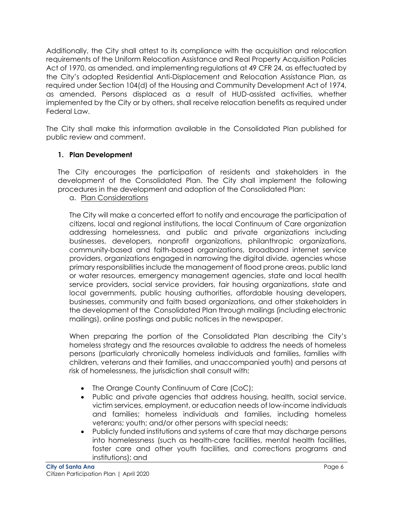Additionally, the City shall attest to its compliance with the acquisition and relocation requirements of the Uniform Relocation Assistance and Real Property Acquisition Policies Act of 1970, as amended, and implementing regulations at 49 CFR 24, as effectuated by the City's adopted Residential Anti-Displacement and Relocation Assistance Plan, as required under Section 104(d) of the Housing and Community Development Act of 1974, as amended. Persons displaced as a result of HUD-assisted activities, whether implemented by the City or by others, shall receive relocation benefits as required under Federal Law.

The City shall make this information available in the Consolidated Plan published for public review and comment.

## <span id="page-7-0"></span>**1. Plan Development**

The City encourages the participation of residents and stakeholders in the development of the Consolidated Plan. The City shall implement the following procedures in the development and adoption of the Consolidated Plan:

a. Plan Considerations

The City will make a concerted effort to notify and encourage the participation of citizens, local and regional institutions, the local Continuum of Care organization addressing homelessness, and public and private organizations including businesses, developers, nonprofit organizations, philanthropic organizations, community-based and faith-based organizations, broadband internet service providers, organizations engaged in narrowing the digital divide, agencies whose primary responsibilities include the management of flood prone areas, public land or water resources, emergency management agencies, state and local health service providers, social service providers, fair housing organizations, state and local governments, public housing authorities, affordable housing developers, businesses, community and faith based organizations, and other stakeholders in the development of the Consolidated Plan through mailings (including electronic mailings), online postings and public notices in the newspaper.

When preparing the portion of the Consolidated Plan describing the City's homeless strategy and the resources available to address the needs of homeless persons (particularly chronically homeless individuals and families, families with children, veterans and their families, and unaccompanied youth) and persons at risk of homelessness, the jurisdiction shall consult with:

- The Orange County Continuum of Care (CoC);
- Public and private agencies that address housing, health, social service, victim services, employment, or education needs of low-income individuals and families; homeless individuals and families, including homeless veterans; youth; and/or other persons with special needs;
- Publicly funded institutions and systems of care that may discharge persons into homelessness (such as health-care facilities, mental health facilities, foster care and other youth facilities, and corrections programs and institutions); and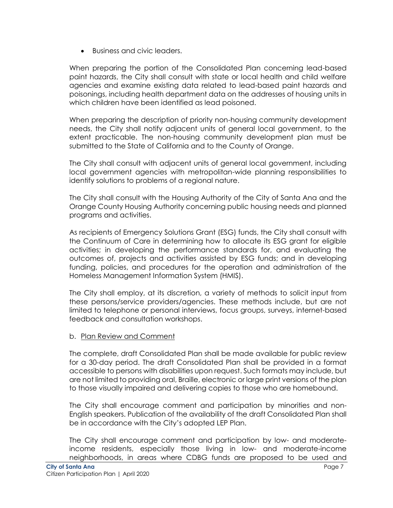Business and civic leaders.

When preparing the portion of the Consolidated Plan concerning lead-based paint hazards, the City shall consult with state or local health and child welfare agencies and examine existing data related to lead-based paint hazards and poisonings, including health department data on the addresses of housing units in which children have been identified as lead poisoned.

When preparing the description of priority non-housing community development needs, the City shall notify adjacent units of general local government, to the extent practicable. The non-housing community development plan must be submitted to the State of California and to the County of Orange.

The City shall consult with adjacent units of general local government, including local government agencies with metropolitan-wide planning responsibilities to identify solutions to problems of a regional nature.

The City shall consult with the Housing Authority of the City of Santa Ana and the Orange County Housing Authority concerning public housing needs and planned programs and activities.

As recipients of Emergency Solutions Grant (ESG) funds, the City shall consult with the Continuum of Care in determining how to allocate its ESG grant for eligible activities; in developing the performance standards for, and evaluating the outcomes of, projects and activities assisted by ESG funds; and in developing funding, policies, and procedures for the operation and administration of the Homeless Management Information System (HMIS).

The City shall employ, at its discretion, a variety of methods to solicit input from these persons/service providers/agencies. These methods include, but are not limited to telephone or personal interviews, focus groups, surveys, internet-based feedback and consultation workshops.

## b. Plan Review and Comment

The complete, draft Consolidated Plan shall be made available for public review for a 30-day period. The draft Consolidated Plan shall be provided in a format accessible to persons with disabilities upon request. Such formats may include, but are not limited to providing oral, Braille, electronic or large print versions of the plan to those visually impaired and delivering copies to those who are homebound.

The City shall encourage comment and participation by minorities and non-English speakers. Publication of the availability of the draft Consolidated Plan shall be in accordance with the City's adopted LEP Plan.

The City shall encourage comment and participation by low- and moderateincome residents, especially those living in low- and moderate-income neighborhoods, in areas where CDBG funds are proposed to be used and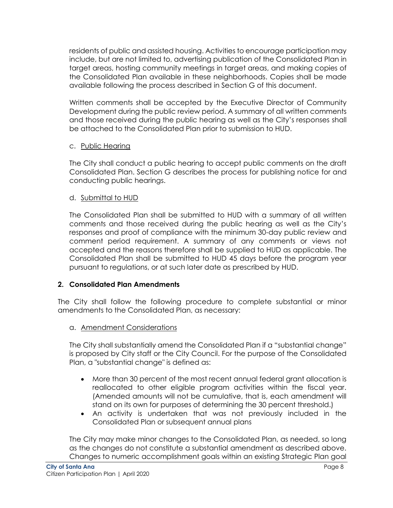residents of public and assisted housing. Activities to encourage participation may include, but are not limited to, advertising publication of the Consolidated Plan in target areas, hosting community meetings in target areas, and making copies of the Consolidated Plan available in these neighborhoods. Copies shall be made available following the process described in Section G of this document.

Written comments shall be accepted by the Executive Director of Community Development during the public review period. A summary of all written comments and those received during the public hearing as well as the City's responses shall be attached to the Consolidated Plan prior to submission to HUD.

## c. Public Hearing

The City shall conduct a public hearing to accept public comments on the draft Consolidated Plan. Section G describes the process for publishing notice for and conducting public hearings.

## d. Submittal to HUD

The Consolidated Plan shall be submitted to HUD with a summary of all written comments and those received during the public hearing as well as the City's responses and proof of compliance with the minimum 30-day public review and comment period requirement. A summary of any comments or views not accepted and the reasons therefore shall be supplied to HUD as applicable. The Consolidated Plan shall be submitted to HUD 45 days before the program year pursuant to regulations, or at such later date as prescribed by HUD.

## <span id="page-9-0"></span>**2. Consolidated Plan Amendments**

The City shall follow the following procedure to complete substantial or minor amendments to the Consolidated Plan, as necessary:

## a. Amendment Considerations

The City shall substantially amend the Consolidated Plan if a "substantial change" is proposed by City staff or the City Council. For the purpose of the Consolidated Plan, a "substantial change" is defined as:

- More than 30 percent of the most recent annual federal grant allocation is reallocated to other eligible program activities within the fiscal year. (Amended amounts will not be cumulative, that is, each amendment will stand on its own for purposes of determining the 30 percent threshold.)
- An activity is undertaken that was not previously included in the Consolidated Plan or subsequent annual plans

The City may make minor changes to the Consolidated Plan, as needed, so long as the changes do not constitute a substantial amendment as described above. Changes to numeric accomplishment goals within an existing Strategic Plan goal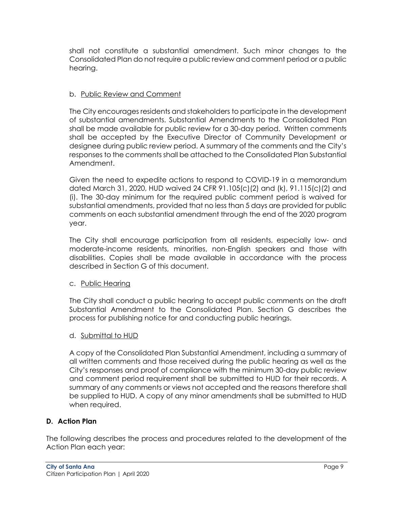shall not constitute a substantial amendment. Such minor changes to the Consolidated Plan do not require a public review and comment period or a public hearing.

## b. Public Review and Comment

The City encourages residents and stakeholders to participate in the development of substantial amendments. Substantial Amendments to the Consolidated Plan shall be made available for public review for a 30-day period. Written comments shall be accepted by the Executive Director of Community Development or designee during public review period. A summary of the comments and the City's responses to the comments shall be attached to the Consolidated Plan Substantial Amendment.

Given the need to expedite actions to respond to COVID-19 in a memorandum dated March 31, 2020, HUD waived 24 CFR 91.105(c)(2) and (k), 91.115(c)(2) and (i). The 30-day minimum for the required public comment period is waived for substantial amendments, provided that no less than 5 days are provided for public comments on each substantial amendment through the end of the 2020 program year.

The City shall encourage participation from all residents, especially low- and moderate-income residents, minorities, non-English speakers and those with disabilities. Copies shall be made available in accordance with the process described in Section G of this document.

## c. Public Hearing

The City shall conduct a public hearing to accept public comments on the draft Substantial Amendment to the Consolidated Plan. Section G describes the process for publishing notice for and conducting public hearings.

## d. Submittal to HUD

A copy of the Consolidated Plan Substantial Amendment, including a summary of all written comments and those received during the public hearing as well as the City's responses and proof of compliance with the minimum 30-day public review and comment period requirement shall be submitted to HUD for their records. A summary of any comments or views not accepted and the reasons therefore shall be supplied to HUD. A copy of any minor amendments shall be submitted to HUD when required.

## <span id="page-10-0"></span>**D. Action Plan**

The following describes the process and procedures related to the development of the Action Plan each year: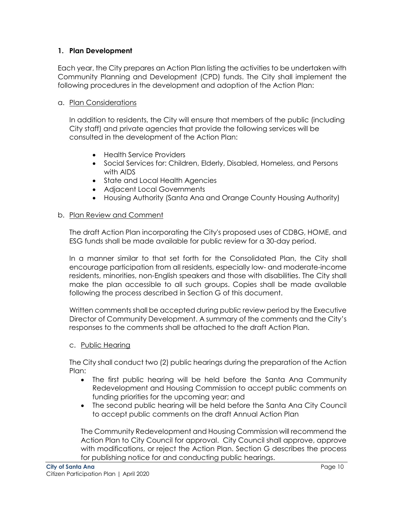## <span id="page-11-0"></span>**1. Plan Development**

Each year, the City prepares an Action Plan listing the activities to be undertaken with Community Planning and Development (CPD) funds. The City shall implement the following procedures in the development and adoption of the Action Plan:

## a. Plan Considerations

In addition to residents, the City will ensure that members of the public (including City staff) and private agencies that provide the following services will be consulted in the development of the Action Plan:

- Health Service Providers
- Social Services for: Children, Elderly, Disabled, Homeless, and Persons with AIDS
- State and Local Health Agencies
- Adjacent Local Governments
- Housing Authority (Santa Ana and Orange County Housing Authority)

## b. Plan Review and Comment

The draft Action Plan incorporating the City's proposed uses of CDBG, HOME, and ESG funds shall be made available for public review for a 30-day period.

In a manner similar to that set forth for the Consolidated Plan, the City shall encourage participation from all residents, especially low- and moderate-income residents, minorities, non-English speakers and those with disabilities. The City shall make the plan accessible to all such groups. Copies shall be made available following the process described in Section G of this document.

Written comments shall be accepted during public review period by the Executive Director of Community Development. A summary of the comments and the City's responses to the comments shall be attached to the draft Action Plan.

## c. Public Hearing

The City shall conduct two (2) public hearings during the preparation of the Action Plan:

- The first public hearing will be held before the Santa Ana Community Redevelopment and Housing Commission to accept public comments on funding priorities for the upcoming year; and
- The second public hearing will be held before the Santa Ana City Council to accept public comments on the draft Annual Action Plan

The Community Redevelopment and Housing Commission will recommend the Action Plan to City Council for approval. City Council shall approve, approve with modifications, or reject the Action Plan. Section G describes the process for publishing notice for and conducting public hearings.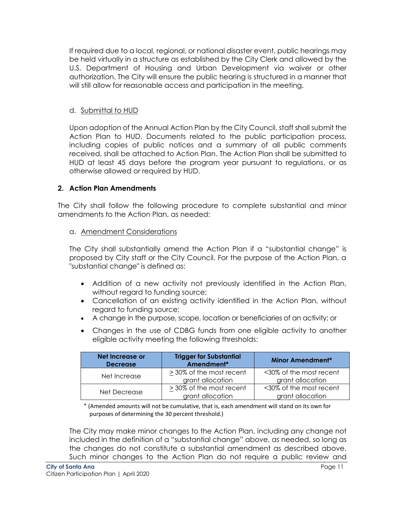If required due to a local, regional, or national disaster event, public hearings may be held virtually in a structure as established by the City Clerk and allowed by the U.S. Department of Housing and Urban Development via waiver or other authorization. The City will ensure the public hearing is structured in a manner that will still allow for reasonable access and participation in the meeting.

## d. Submittal to HUD

Upon adoption of the Annual Action Plan by the City Council, staff shall submit the Action Plan to HUD. Documents related to the public participation process, including copies of public notices and a summary of all public comments received, shall be attached to Action Plan. The Action Plan shall be submitted to HUD at least 45 days before the program year pursuant to regulations, or as otherwise allowed or required by HUD.

## <span id="page-12-0"></span>**2. Action Plan Amendments**

The City shall follow the following procedure to complete substantial and minor amendments to the Action Plan, as needed:

## a. Amendment Considerations

The City shall substantially amend the Action Plan if a "substantial change" is proposed by City staff or the City Council. For the purpose of the Action Plan, a "substantial change" is defined as:

- Addition of a new activity not previously identified in the Action Plan, without regard to funding source;
- Cancellation of an existing activity identified in the Action Plan, without regard to funding source;
- A change in the purpose, scope, location or beneficiaries of an activity; or
- Changes in the use of CDBG funds from one eligible activity to another eligible activity meeting the following thresholds:

| Net Increase or<br><b>Decrease</b> | <b>Trigger for Substantial</b><br>Amendment* | <b>Minor Amendment*</b>                     |
|------------------------------------|----------------------------------------------|---------------------------------------------|
| Net Increase                       | > 30% of the most recent<br>grant allocation | <30% of the most recent<br>grant allocation |
| Net Decrease                       | > 30% of the most recent<br>grant allocation | <30% of the most recent<br>grant allocation |

\* (Amended amounts will not be cumulative, that is, each amendment will stand on its own for purposes of determining the 30 percent threshold.)

The City may make minor changes to the Action Plan, including any change not included in the definition of a "substantial change" above, as needed, so long as the changes do not constitute a substantial amendment as described above. Such minor changes to the Action Plan do not require a public review and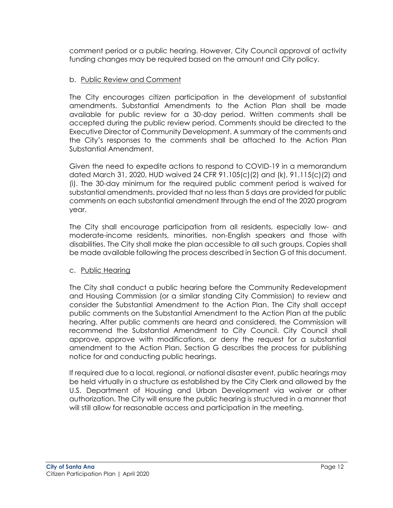comment period or a public hearing. However, City Council approval of activity funding changes may be required based on the amount and City policy.

#### b. Public Review and Comment

The City encourages citizen participation in the development of substantial amendments. Substantial Amendments to the Action Plan shall be made available for public review for a 30-day period. Written comments shall be accepted during the public review period. Comments should be directed to the Executive Director of Community Development. A summary of the comments and the City's responses to the comments shall be attached to the Action Plan Substantial Amendment.

Given the need to expedite actions to respond to COVID-19 in a memorandum dated March 31, 2020, HUD waived 24 CFR 91.105(c)(2) and (k), 91.115(c)(2) and (i). The 30-day minimum for the required public comment period is waived for substantial amendments, provided that no less than 5 days are provided for public comments on each substantial amendment through the end of the 2020 program year.

The City shall encourage participation from all residents, especially low- and moderate-income residents, minorities, non-English speakers and those with disabilities. The City shall make the plan accessible to all such groups. Copies shall be made available following the process described in Section G of this document.

#### c. Public Hearing

The City shall conduct a public hearing before the Community Redevelopment and Housing Commission (or a similar standing City Commission) to review and consider the Substantial Amendment to the Action Plan. The City shall accept public comments on the Substantial Amendment to the Action Plan at the public hearing. After public comments are heard and considered, the Commission will recommend the Substantial Amendment to City Council. City Council shall approve, approve with modifications, or deny the request for a substantial amendment to the Action Plan. Section G describes the process for publishing notice for and conducting public hearings.

If required due to a local, regional, or national disaster event, public hearings may be held virtually in a structure as established by the City Clerk and allowed by the U.S. Department of Housing and Urban Development via waiver or other authorization. The City will ensure the public hearing is structured in a manner that will still allow for reasonable access and participation in the meeting.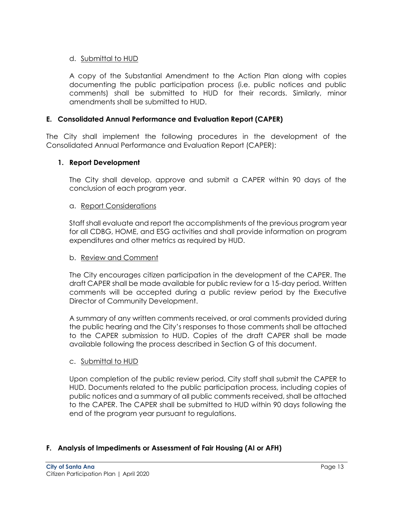## d. Submittal to HUD

A copy of the Substantial Amendment to the Action Plan along with copies documenting the public participation process (i.e. public notices and public comments) shall be submitted to HUD for their records. Similarly, minor amendments shall be submitted to HUD.

#### <span id="page-14-0"></span>**E. Consolidated Annual Performance and Evaluation Report (CAPER)**

The City shall implement the following procedures in the development of the Consolidated Annual Performance and Evaluation Report (CAPER):

#### <span id="page-14-1"></span>**1. Report Development**

The City shall develop, approve and submit a CAPER within 90 days of the conclusion of each program year.

#### a. Report Considerations

Staff shall evaluate and report the accomplishments of the previous program year for all CDBG, HOME, and ESG activities and shall provide information on program expenditures and other metrics as required by HUD.

#### b. Review and Comment

The City encourages citizen participation in the development of the CAPER. The draft CAPER shall be made available for public review for a 15-day period. Written comments will be accepted during a public review period by the Executive Director of Community Development.

A summary of any written comments received, or oral comments provided during the public hearing and the City's responses to those comments shall be attached to the CAPER submission to HUD. Copies of the draft CAPER shall be made available following the process described in Section G of this document.

#### c. Submittal to HUD

Upon completion of the public review period, City staff shall submit the CAPER to HUD. Documents related to the public participation process, including copies of public notices and a summary of all public comments received, shall be attached to the CAPER. The CAPER shall be submitted to HUD within 90 days following the end of the program year pursuant to regulations.

## <span id="page-14-2"></span>**F. Analysis of Impediments or Assessment of Fair Housing (AI or AFH)**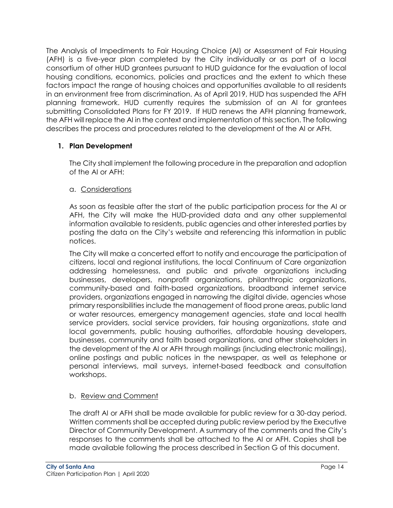The Analysis of Impediments to Fair Housing Choice (AI) or Assessment of Fair Housing (AFH) is a five-year plan completed by the City individually or as part of a local consortium of other HUD grantees pursuant to HUD guidance for the evaluation of local housing conditions, economics, policies and practices and the extent to which these factors impact the range of housing choices and opportunities available to all residents in an environment free from discrimination. As of April 2019, HUD has suspended the AFH planning framework. HUD currently requires the submission of an AI for grantees submitting Consolidated Plans for FY 2019. If HUD renews the AFH planning framework, the AFH will replace the AI in the context and implementation of this section. The following describes the process and procedures related to the development of the AI or AFH.

## <span id="page-15-0"></span>**1. Plan Development**

The City shall implement the following procedure in the preparation and adoption of the AI or AFH:

## a. Considerations

As soon as feasible after the start of the public participation process for the AI or AFH, the City will make the HUD-provided data and any other supplemental information available to residents, public agencies and other interested parties by posting the data on the City's website and referencing this information in public notices.

The City will make a concerted effort to notify and encourage the participation of citizens, local and regional institutions, the local Continuum of Care organization addressing homelessness, and public and private organizations including businesses, developers, nonprofit organizations, philanthropic organizations, community-based and faith-based organizations, broadband internet service providers, organizations engaged in narrowing the digital divide, agencies whose primary responsibilities include the management of flood prone areas, public land or water resources, emergency management agencies, state and local health service providers, social service providers, fair housing organizations, state and local governments, public housing authorities, affordable housing developers, businesses, community and faith based organizations, and other stakeholders in the development of the AI or AFH through mailings (including electronic mailings), online postings and public notices in the newspaper, as well as telephone or personal interviews, mail surveys, internet-based feedback and consultation workshops.

## b. Review and Comment

The draft AI or AFH shall be made available for public review for a 30-day period. Written comments shall be accepted during public review period by the Executive Director of Community Development. A summary of the comments and the City's responses to the comments shall be attached to the AI or AFH. Copies shall be made available following the process described in Section G of this document.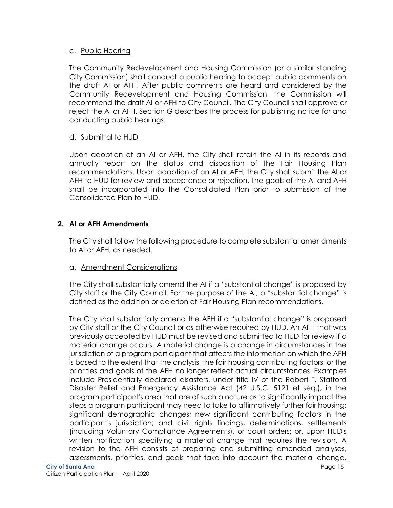## c. Public Hearing

The Community Redevelopment and Housing Commission (or a similar standing City Commission) shall conduct a public hearing to accept public comments on the draft AI or AFH. After public comments are heard and considered by the Community Redevelopment and Housing Commission, the Commission will recommend the draft AI or AFH to City Council. The City Council shall approve or reject the AI or AFH. Section G describes the process for publishing notice for and conducting public hearings.

## d. Submittal to HUD

Upon adoption of an AI or AFH, the City shall retain the AI in its records and annually report on the status and disposition of the Fair Housing Plan recommendations. Upon adoption of an AI or AFH, the City shall submit the AI or AFH to HUD for review and acceptance or rejection. The goals of the AI and AFH shall be incorporated into the Consolidated Plan prior to submission of the Consolidated Plan to HUD.

## <span id="page-16-0"></span>**2. AI or AFH Amendments**

The City shall follow the following procedure to complete substantial amendments to AI or AFH, as needed.

## a. Amendment Considerations

The City shall substantially amend the AI if a "substantial change" is proposed by City staff or the City Council. For the purpose of the AI, a "substantial change" is defined as the addition or deletion of Fair Housing Plan recommendations.

The City shall substantially amend the AFH if a "substantial change" is proposed by City staff or the City Council or as otherwise required by HUD. An AFH that was previously accepted by HUD must be revised and submitted to HUD for review if a material change occurs. A material change is a change in circumstances in the jurisdiction of a program participant that affects the information on which the AFH is based to the extent that the analysis, the fair housing contributing factors, or the priorities and goals of the AFH no longer reflect actual circumstances. Examples include Presidentially declared disasters, under title IV of the Robert T. Stafford Disaster Relief and Emergency Assistance Act (42 U.S.C. 5121 et seq.), in the program participant's area that are of such a nature as to significantly impact the steps a program participant may need to take to affirmatively further fair housing; significant demographic changes; new significant contributing factors in the participant's jurisdiction; and civil rights findings, determinations, settlements (including Voluntary Compliance Agreements), or court orders; or, upon HUD's written notification specifying a material change that requires the revision. A revision to the AFH consists of preparing and submitting amended analyses, assessments, priorities, and goals that take into account the material change,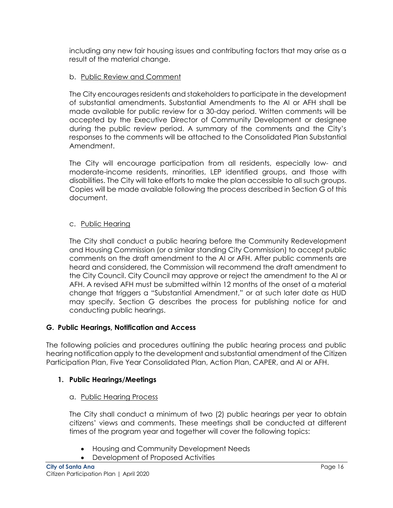including any new fair housing issues and contributing factors that may arise as a result of the material change.

## b. Public Review and Comment

The City encourages residents and stakeholders to participate in the development of substantial amendments. Substantial Amendments to the AI or AFH shall be made available for public review for a 30-day period. Written comments will be accepted by the Executive Director of Community Development or designee during the public review period. A summary of the comments and the City's responses to the comments will be attached to the Consolidated Plan Substantial Amendment.

The City will encourage participation from all residents, especially low- and moderate-income residents, minorities, LEP identified groups, and those with disabilities. The City will take efforts to make the plan accessible to all such groups. Copies will be made available following the process described in Section G of this document.

## c. Public Hearing

The City shall conduct a public hearing before the Community Redevelopment and Housing Commission (or a similar standing City Commission) to accept public comments on the draft amendment to the AI or AFH. After public comments are heard and considered, the Commission will recommend the draft amendment to the City Council. City Council may approve or reject the amendment to the AI or AFH. A revised AFH must be submitted within 12 months of the onset of a material change that triggers a "Substantial Amendment," or at such later date as HUD may specify. Section G describes the process for publishing notice for and conducting public hearings.

## <span id="page-17-0"></span>**G. Public Hearings, Notification and Access**

The following policies and procedures outlining the public hearing process and public hearing notification apply to the development and substantial amendment of the Citizen Participation Plan, Five Year Consolidated Plan, Action Plan, CAPER, and AI or AFH.

## <span id="page-17-1"></span>**1. Public Hearings/Meetings**

## a. Public Hearing Process

The City shall conduct a minimum of two (2) public hearings per year to obtain citizens' views and comments. These meetings shall be conducted at different times of the program year and together will cover the following topics:

- Housing and Community Development Needs
- Development of Proposed Activities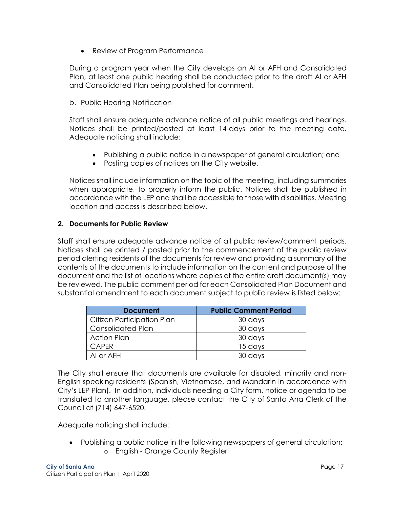• Review of Program Performance

During a program year when the City develops an AI or AFH and Consolidated Plan, at least one public hearing shall be conducted prior to the draft AI or AFH and Consolidated Plan being published for comment.

## b. Public Hearing Notification

Staff shall ensure adequate advance notice of all public meetings and hearings. Notices shall be printed/posted at least 14-days prior to the meeting date. Adequate noticing shall include:

- Publishing a public notice in a newspaper of general circulation; and
- Posting copies of notices on the City website.

Notices shall include information on the topic of the meeting, including summaries when appropriate, to properly inform the public. Notices shall be published in accordance with the LEP and shall be accessible to those with disabilities. Meeting location and access is described below.

## <span id="page-18-0"></span>**2. Documents for Public Review**

Staff shall ensure adequate advance notice of all public review/comment periods. Notices shall be printed / posted prior to the commencement of the public review period alerting residents of the documents for review and providing a summary of the contents of the documents to include information on the content and purpose of the document and the list of locations where copies of the entire draft document(s) may be reviewed. The public comment period for each Consolidated Plan Document and substantial amendment to each document subject to public review is listed below:

| <b>Document</b>            | <b>Public Comment Period</b> |
|----------------------------|------------------------------|
| Citizen Participation Plan | 30 days                      |
| Consolidated Plan          | 30 days                      |
| <b>Action Plan</b>         | 30 days                      |
| <b>CAPER</b>               | 15 days                      |
| AI or AFH                  | 30 days                      |

The City shall ensure that documents are available for disabled, minority and non-English speaking residents (Spanish, Vietnamese, and Mandarin in accordance with City's LEP Plan). In addition, individuals needing a City form, notice or agenda to be translated to another language, please contact the City of Santa Ana Clerk of the Council at (714) 647-6520.

Adequate noticing shall include:

 Publishing a public notice in the following newspapers of general circulation: o English - Orange County Register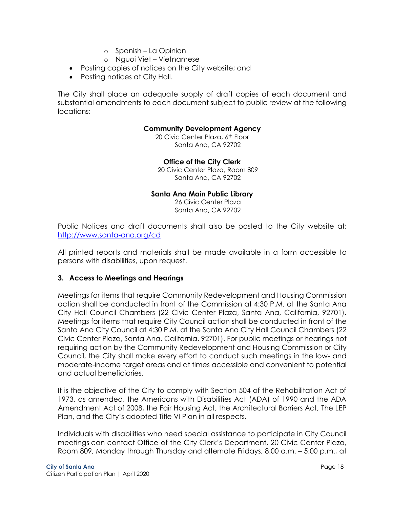- o Spanish La Opinion
- o Nguoi Viet Vietnamese
- Posting copies of notices on the City website; and
- Posting notices at City Hall.

The City shall place an adequate supply of draft copies of each document and substantial amendments to each document subject to public review at the following locations:

#### **Community Development Agency**

20 Civic Center Plaza, 6th Floor Santa Ana, CA 92702

**Office of the City Clerk**

20 Civic Center Plaza, Room 809 Santa Ana, CA 92702

#### **Santa Ana Main Public Library**

26 Civic Center Plaza Santa Ana, CA 92702

Public Notices and draft documents shall also be posted to the City website at: [http://www.santa-ana.org/cd](http://www.santa-ana.org/cda)

All printed reports and materials shall be made available in a form accessible to persons with disabilities, upon request.

## <span id="page-19-0"></span>**3. Access to Meetings and Hearings**

Meetings for items that require Community Redevelopment and Housing Commission action shall be conducted in front of the Commission at 4:30 P.M. at the Santa Ana City Hall Council Chambers (22 Civic Center Plaza, Santa Ana, California, 92701). Meetings for items that require City Council action shall be conducted in front of the Santa Ana City Council at 4:30 P.M. at the Santa Ana City Hall Council Chambers (22 Civic Center Plaza, Santa Ana, California, 92701). For public meetings or hearings not requiring action by the Community Redevelopment and Housing Commission or City Council, the City shall make every effort to conduct such meetings in the low- and moderate-income target areas and at times accessible and convenient to potential and actual beneficiaries.

It is the objective of the City to comply with Section 504 of the Rehabilitation Act of 1973, as amended, the Americans with Disabilities Act (ADA) of 1990 and the ADA Amendment Act of 2008, the Fair Housing Act, the Architectural Barriers Act, The LEP Plan, and the City's adopted Title VI Plan in all respects.

Individuals with disabilities who need special assistance to participate in City Council meetings can contact Office of the City Clerk's Department, 20 Civic Center Plaza, Room 809, Monday through Thursday and alternate Fridays, 8:00 a.m. – 5:00 p.m., at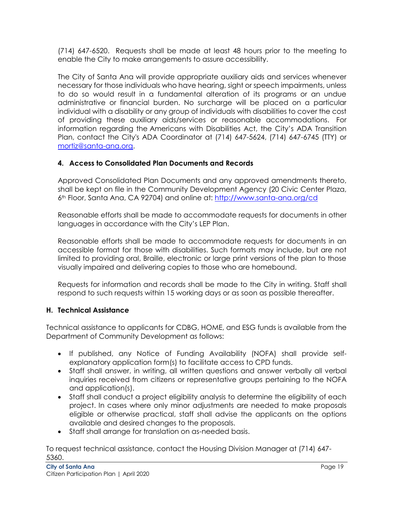(714) 647-6520. Requests shall be made at least 48 hours prior to the meeting to enable the City to make arrangements to assure accessibility.

The City of Santa Ana will provide appropriate auxiliary aids and services whenever necessary for those individuals who have hearing, sight or speech impairments, unless to do so would result in a fundamental alteration of its programs or an undue administrative or financial burden. No surcharge will be placed on a particular individual with a disability or any group of individuals with disabilities to cover the cost of providing these auxiliary aids/services or reasonable accommodations. For information regarding the Americans with Disabilities Act, the City's ADA Transition Plan, contact the City's ADA Coordinator at (714) 647-5624, (714) 647-6745 (TTY) or [mortiz@santa-ana.org.](mailto:mortiz@santa-ana.org)

## <span id="page-20-0"></span>**4. Access to Consolidated Plan Documents and Records**

Approved Consolidated Plan Documents and any approved amendments thereto, shall be kept on file in the Community Development Agency (20 Civic Center Plaza, 6th Floor, Santa Ana, CA 92704) and online at: [http://www.santa-ana.org/cd](http://www.santa-ana.org/cda)

Reasonable efforts shall be made to accommodate requests for documents in other languages in accordance with the City's LEP Plan.

Reasonable efforts shall be made to accommodate requests for documents in an accessible format for those with disabilities. Such formats may include, but are not limited to providing oral, Braille, electronic or large print versions of the plan to those visually impaired and delivering copies to those who are homebound.

Requests for information and records shall be made to the City in writing. Staff shall respond to such requests within 15 working days or as soon as possible thereafter.

## <span id="page-20-1"></span>**H. Technical Assistance**

Technical assistance to applicants for CDBG, HOME, and ESG funds is available from the Department of Community Development as follows:

- If published, any Notice of Funding Availability (NOFA) shall provide selfexplanatory application form(s) to facilitate access to CPD funds.
- Staff shall answer, in writing, all written questions and answer verbally all verbal inquiries received from citizens or representative groups pertaining to the NOFA and application(s).
- Staff shall conduct a project eligibility analysis to determine the eligibility of each project. In cases where only minor adjustments are needed to make proposals eligible or otherwise practical, staff shall advise the applicants on the options available and desired changes to the proposals.
- Staff shall arrange for translation on as-needed basis.

To request technical assistance, contact the Housing Division Manager at (714) 647- 5360.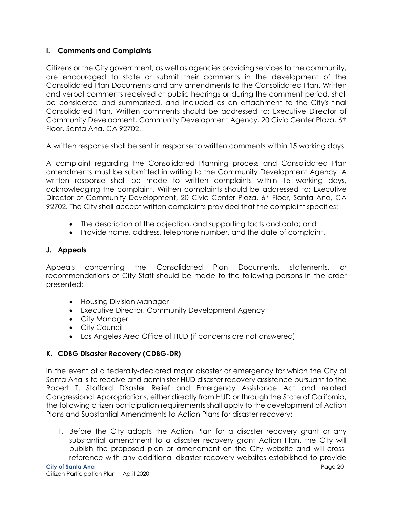## <span id="page-21-0"></span>**I. Comments and Complaints**

Citizens or the City government, as well as agencies providing services to the community, are encouraged to state or submit their comments in the development of the Consolidated Plan Documents and any amendments to the Consolidated Plan. Written and verbal comments received at public hearings or during the comment period, shall be considered and summarized, and included as an attachment to the City's final Consolidated Plan. Written comments should be addressed to: Executive Director of Community Development, Community Development Agency, 20 Civic Center Plaza, 6<sup>th</sup> Floor, Santa Ana, CA 92702.

A written response shall be sent in response to written comments within 15 working days.

A complaint regarding the Consolidated Planning process and Consolidated Plan amendments must be submitted in writing to the Community Development Agency. A written response shall be made to written complaints within 15 working days, acknowledging the complaint. Written complaints should be addressed to: Executive Director of Community Development, 20 Civic Center Plaza, 6<sup>th</sup> Floor, Santa Ana, CA 92702. The City shall accept written complaints provided that the complaint specifies:

- The description of the objection, and supporting facts and data; and
- Provide name, address, telephone number, and the date of complaint.

## <span id="page-21-1"></span>**J. Appeals**

Appeals concerning the Consolidated Plan Documents, statements, or recommendations of City Staff should be made to the following persons in the order presented:

- Housing Division Manager
- Executive Director, Community Development Agency
- City Manager
- City Council
- Los Angeles Area Office of HUD (if concerns are not answered)

## <span id="page-21-2"></span>**K. CDBG Disaster Recovery (CDBG-DR)**

In the event of a federally-declared major disaster or emergency for which the City of Santa Ana is to receive and administer HUD disaster recovery assistance pursuant to the Robert T. Stafford Disaster Relief and Emergency Assistance Act and related Congressional Appropriations, either directly from HUD or through the State of California, the following citizen participation requirements shall apply to the development of Action Plans and Substantial Amendments to Action Plans for disaster recovery:

1. Before the City adopts the Action Plan for a disaster recovery grant or any substantial amendment to a disaster recovery grant Action Plan, the City will publish the proposed plan or amendment on the City website and will crossreference with any additional disaster recovery websites established to provide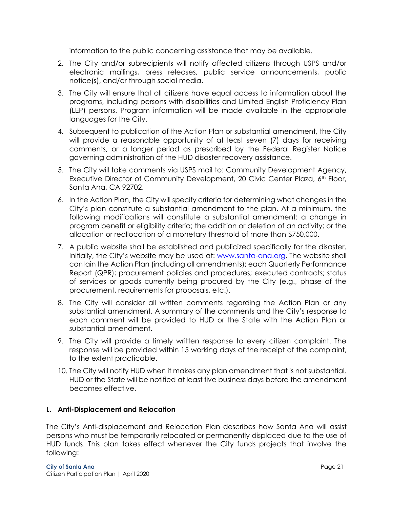information to the public concerning assistance that may be available.

- 2. The City and/or subrecipients will notify affected citizens through USPS and/or electronic mailings, press releases, public service announcements, public notice(s), and/or through social media.
- 3. The City will ensure that all citizens have equal access to information about the programs, including persons with disabilities and Limited English Proficiency Plan (LEP) persons. Program information will be made available in the appropriate languages for the City.
- 4. Subsequent to publication of the Action Plan or substantial amendment, the City will provide a reasonable opportunity of at least seven (7) days for receiving comments, or a longer period as prescribed by the Federal Register Notice governing administration of the HUD disaster recovery assistance.
- 5. The City will take comments via USPS mail to: Community Development Agency, Executive Director of Community Development, 20 Civic Center Plaza, 6th Floor, Santa Ana, CA 92702.
- 6. In the Action Plan, the City will specify criteria for determining what changes in the City's plan constitute a substantial amendment to the plan. At a minimum, the following modifications will constitute a substantial amendment: a change in program benefit or eligibility criteria; the addition or deletion of an activity; or the allocation or reallocation of a monetary threshold of more than \$750,000.
- 7. A public website shall be established and publicized specifically for the disaster. Initially, the City's website may be used at: [www.santa-ana.org.](http://www.santa-ana.org/) The website shall contain the Action Plan (including all amendments); each Quarterly Performance Report (QPR); procurement policies and procedures; executed contracts; status of services or goods currently being procured by the City (e.g., phase of the procurement, requirements for proposals, etc.).
- 8. The City will consider all written comments regarding the Action Plan or any substantial amendment. A summary of the comments and the City's response to each comment will be provided to HUD or the State with the Action Plan or substantial amendment.
- 9. The City will provide a timely written response to every citizen complaint. The response will be provided within 15 working days of the receipt of the complaint, to the extent practicable.
- 10. The City will notify HUD when it makes any plan amendment that is not substantial. HUD or the State will be notified at least five business days before the amendment becomes effective.

## <span id="page-22-0"></span>**L. Anti-Displacement and Relocation**

The City's Anti-displacement and Relocation Plan describes how Santa Ana will assist persons who must be temporarily relocated or permanently displaced due to the use of HUD funds. This plan takes effect whenever the City funds projects that involve the following: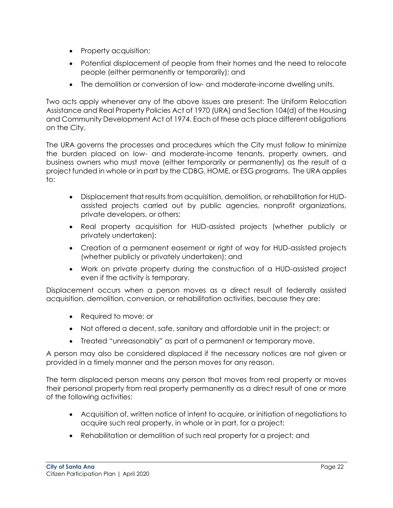- Property acquisition;
- Potential displacement of people from their homes and the need to relocate people (either permanently or temporarily); and
- The demolition or conversion of low- and moderate-income dwelling units.

Two acts apply whenever any of the above issues are present: The Uniform Relocation Assistance and Real Property Policies Act of 1970 (URA) and Section 104(d) of the Housing and Community Development Act of 1974. Each of these acts place different obligations on the City.

The URA governs the processes and procedures which the City must follow to minimize the burden placed on low- and moderate-income tenants, property owners, and business owners who must move (either temporarily or permanently) as the result of a project funded in whole or in part by the CDBG, HOME, or ESG programs. The URA applies to:

- Displacement that results from acquisition, demolition, or rehabilitation for HUDassisted projects carried out by public agencies, nonprofit organizations, private developers, or others;
- Real property acquisition for HUD-assisted projects (whether publicly or privately undertaken);
- Creation of a permanent easement or right of way for HUD-assisted projects (whether publicly or privately undertaken); and
- Work on private property during the construction of a HUD-assisted project even if the activity is temporary.

Displacement occurs when a person moves as a direct result of federally assisted acquisition, demolition, conversion, or rehabilitation activities, because they are:

- Required to move; or
- Not offered a decent, safe, sanitary and affordable unit in the project; or
- Treated "unreasonably" as part of a permanent or temporary move.

A person may also be considered displaced if the necessary notices are not given or provided in a timely manner and the person moves for any reason.

The term displaced person means any person that moves from real property or moves their personal property from real property permanently as a direct result of one or more of the following activities:

- Acquisition of, written notice of intent to acquire, or initiation of negotiations to acquire such real property, in whole or in part, for a project;
- Rehabilitation or demolition of such real property for a project; and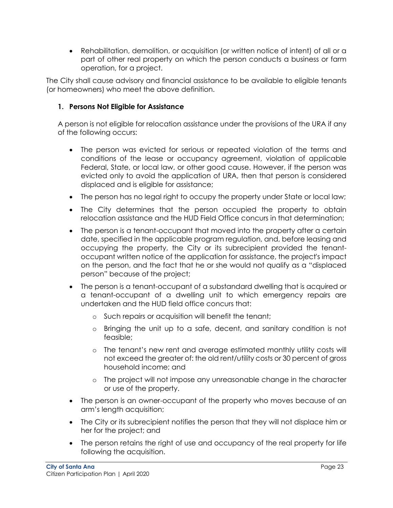Rehabilitation, demolition, or acquisition (or written notice of intent) of all or a part of other real property on which the person conducts a business or farm operation, for a project.

The City shall cause advisory and financial assistance to be available to eligible tenants (or homeowners) who meet the above definition.

## <span id="page-24-0"></span>**1. Persons Not Eligible for Assistance**

A person is not eligible for relocation assistance under the provisions of the URA if any of the following occurs:

- The person was evicted for serious or repeated violation of the terms and conditions of the lease or occupancy agreement, violation of applicable Federal, State, or local law, or other good cause. However, if the person was evicted only to avoid the application of URA, then that person is considered displaced and is eligible for assistance;
- The person has no legal right to occupy the property under State or local law;
- The City determines that the person occupied the property to obtain relocation assistance and the HUD Field Office concurs in that determination;
- The person is a tenant-occupant that moved into the property after a certain date, specified in the applicable program regulation, and, before leasing and occupying the property, the City or its subrecipient provided the tenantoccupant written notice of the application for assistance, the project's impact on the person, and the fact that he or she would not qualify as a "displaced person" because of the project;
- The person is a tenant-occupant of a substandard dwelling that is acquired or a tenant-occupant of a dwelling unit to which emergency repairs are undertaken and the HUD field office concurs that:
	- o Such repairs or acquisition will benefit the tenant;
	- o Bringing the unit up to a safe, decent, and sanitary condition is not feasible;
	- o The tenant's new rent and average estimated monthly utility costs will not exceed the greater of: the old rent/utility costs or 30 percent of gross household income; and
	- $\circ$  The project will not impose any unreasonable change in the character or use of the property.
- The person is an owner-occupant of the property who moves because of an arm's length acquisition;
- The City or its subrecipient notifies the person that they will not displace him or her for the project; and
- The person retains the right of use and occupancy of the real property for life following the acquisition.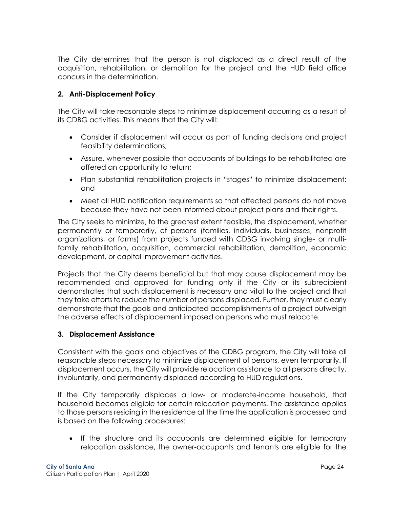The City determines that the person is not displaced as a direct result of the acquisition, rehabilitation, or demolition for the project and the HUD field office concurs in the determination.

## <span id="page-25-0"></span>**2. Anti-Displacement Policy**

The City will take reasonable steps to minimize displacement occurring as a result of its CDBG activities. This means that the City will:

- Consider if displacement will occur as part of funding decisions and project feasibility determinations;
- Assure, whenever possible that occupants of buildings to be rehabilitated are offered an opportunity to return;
- Plan substantial rehabilitation projects in "stages" to minimize displacement; and
- Meet all HUD notification requirements so that affected persons do not move because they have not been informed about project plans and their rights.

The City seeks to minimize, to the greatest extent feasible, the displacement, whether permanently or temporarily, of persons (families, individuals, businesses, nonprofit organizations, or farms) from projects funded with CDBG involving single- or multifamily rehabilitation, acquisition, commercial rehabilitation, demolition, economic development, or capital improvement activities.

Projects that the City deems beneficial but that may cause displacement may be recommended and approved for funding only if the City or its subrecipient demonstrates that such displacement is necessary and vital to the project and that they take efforts to reduce the number of persons displaced. Further, they must clearly demonstrate that the goals and anticipated accomplishments of a project outweigh the adverse effects of displacement imposed on persons who must relocate.

## <span id="page-25-1"></span>**3. Displacement Assistance**

Consistent with the goals and objectives of the CDBG program, the City will take all reasonable steps necessary to minimize displacement of persons, even temporarily. If displacement occurs, the City will provide relocation assistance to all persons directly, involuntarily, and permanently displaced according to HUD regulations.

If the City temporarily displaces a low- or moderate-income household, that household becomes eligible for certain relocation payments. The assistance applies to those persons residing in the residence at the time the application is processed and is based on the following procedures:

 If the structure and its occupants are determined eligible for temporary relocation assistance, the owner-occupants and tenants are eligible for the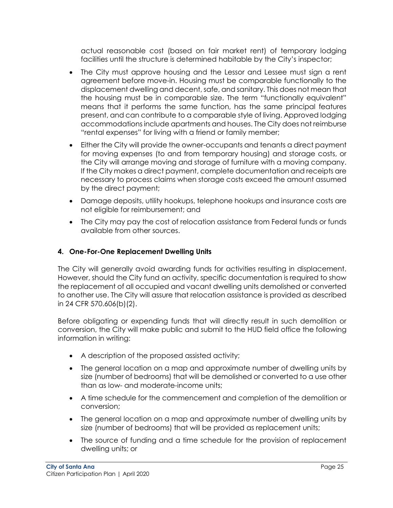actual reasonable cost (based on fair market rent) of temporary lodging facilities until the structure is determined habitable by the City's inspector;

- The City must approve housing and the Lessor and Lessee must sign a rent agreement before move-in. Housing must be comparable functionally to the displacement dwelling and decent, safe, and sanitary. This does not mean that the housing must be in comparable size. The term "functionally equivalent" means that it performs the same function, has the same principal features present, and can contribute to a comparable style of living. Approved lodging accommodations include apartments and houses. The City does not reimburse "rental expenses" for living with a friend or family member;
- Either the City will provide the owner-occupants and tenants a direct payment for moving expenses (to and from temporary housing) and storage costs, or the City will arrange moving and storage of furniture with a moving company. If the City makes a direct payment, complete documentation and receipts are necessary to process claims when storage costs exceed the amount assumed by the direct payment;
- Damage deposits, utility hookups, telephone hookups and insurance costs are not eligible for reimbursement; and
- The City may pay the cost of relocation assistance from Federal funds or funds available from other sources.

## <span id="page-26-0"></span>**4. One-For-One Replacement Dwelling Units**

The City will generally avoid awarding funds for activities resulting in displacement. However, should the City fund an activity, specific documentation is required to show the replacement of all occupied and vacant dwelling units demolished or converted to another use. The City will assure that relocation assistance is provided as described in 24 CFR 570.606(b)(2).

Before obligating or expending funds that will directly result in such demolition or conversion, the City will make public and submit to the HUD field office the following information in writing:

- A description of the proposed assisted activity;
- The general location on a map and approximate number of dwelling units by size (number of bedrooms) that will be demolished or converted to a use other than as low- and moderate-income units;
- A time schedule for the commencement and completion of the demolition or conversion;
- The general location on a map and approximate number of dwelling units by size (number of bedrooms) that will be provided as replacement units;
- The source of funding and a time schedule for the provision of replacement dwelling units; or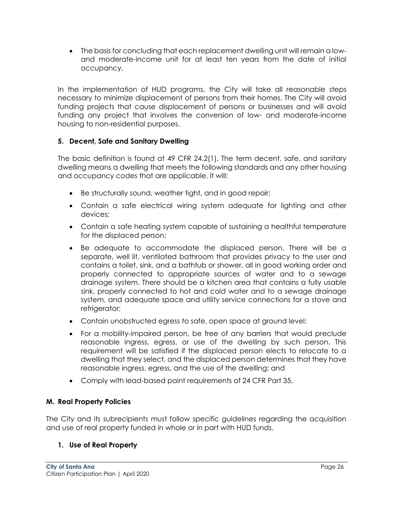The basis for concluding that each replacement dwelling unit will remain a lowand moderate-income unit for at least ten years from the date of initial occupancy.

In the implementation of HUD programs, the City will take all reasonable steps necessary to minimize displacement of persons from their homes. The City will avoid funding projects that cause displacement of persons or businesses and will avoid funding any project that involves the conversion of low- and moderate-income housing to non-residential purposes.

## <span id="page-27-0"></span>**5. Decent, Safe and Sanitary Dwelling**

The basic definition is found at 49 CFR 24.2(1). The term decent, safe, and sanitary dwelling means a dwelling that meets the following standards and any other housing and occupancy codes that are applicable. It will:

- Be structurally sound, weather tight, and in good repair;
- Contain a safe electrical wiring system adequate for lighting and other devices;
- Contain a safe heating system capable of sustaining a healthful temperature for the displaced person;
- Be adequate to accommodate the displaced person. There will be a separate, well lit, ventilated bathroom that provides privacy to the user and contains a toilet, sink, and a bathtub or shower, all in good working order and properly connected to appropriate sources of water and to a sewage drainage system. There should be a kitchen area that contains a fully usable sink, properly connected to hot and cold water and to a sewage drainage system, and adequate space and utility service connections for a stove and refrigerator;
- Contain unobstructed egress to safe, open space at ground level;
- For a mobility-impaired person, be free of any barriers that would preclude reasonable ingress, egress, or use of the dwelling by such person. This requirement will be satisfied if the displaced person elects to relocate to a dwelling that they select, and the displaced person determines that they have reasonable ingress, egress, and the use of the dwelling; and
- Comply with lead-based paint requirements of 24 CFR Part 35.

## <span id="page-27-1"></span>**M. Real Property Policies**

The City and its subrecipients must follow specific guidelines regarding the acquisition and use of real property funded in whole or in part with HUD funds.

## <span id="page-27-2"></span>**1. Use of Real Property**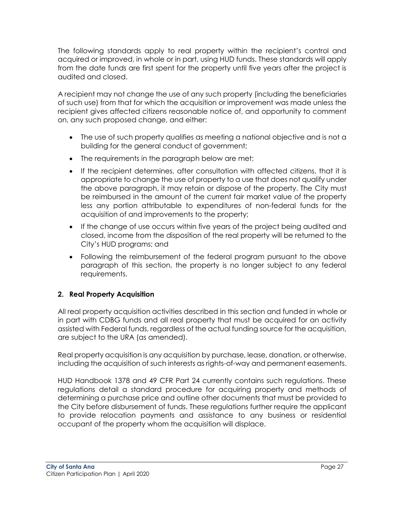The following standards apply to real property within the recipient's control and acquired or improved, in whole or in part, using HUD funds. These standards will apply from the date funds are first spent for the property until five years after the project is audited and closed.

A recipient may not change the use of any such property (including the beneficiaries of such use) from that for which the acquisition or improvement was made unless the recipient gives affected citizens reasonable notice of, and opportunity to comment on, any such proposed change, and either:

- The use of such property qualifies as meeting a national objective and is not a building for the general conduct of government;
- The requirements in the paragraph below are met;
- If the recipient determines, after consultation with affected citizens, that it is appropriate to change the use of property to a use that does not qualify under the above paragraph, it may retain or dispose of the property. The City must be reimbursed in the amount of the current fair market value of the property less any portion attributable to expenditures of non-federal funds for the acquisition of and improvements to the property;
- If the change of use occurs within five years of the project being audited and closed, income from the disposition of the real property will be returned to the City's HUD programs; and
- Following the reimbursement of the federal program pursuant to the above paragraph of this section, the property is no longer subject to any federal requirements.

## <span id="page-28-0"></span>**2. Real Property Acquisition**

All real property acquisition activities described in this section and funded in whole or in part with CDBG funds and all real property that must be acquired for an activity assisted with Federal funds, regardless of the actual funding source for the acquisition, are subject to the URA (as amended).

Real property acquisition is any acquisition by purchase, lease, donation, or otherwise, including the acquisition of such interests as rights-of-way and permanent easements.

HUD Handbook 1378 and 49 CFR Part 24 currently contains such regulations. These regulations detail a standard procedure for acquiring property and methods of determining a purchase price and outline other documents that must be provided to the City before disbursement of funds. These regulations further require the applicant to provide relocation payments and assistance to any business or residential occupant of the property whom the acquisition will displace.